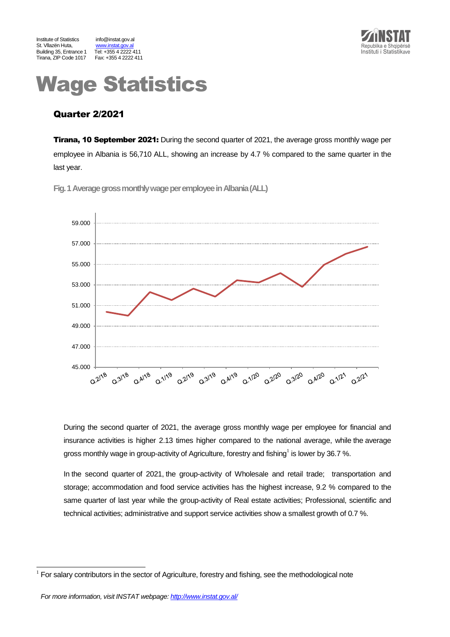



# Wage Statistics

# Quarter 2/2021

**Tirana, 10 September 2021:** During the second quarter of 2021, the average gross monthly wage per employee in Albania is 56,710 ALL, showing an increase by 4.7 % compared to the same quarter in the last year.

**Fig.1Average gross monthly wage per employeein Albania(ALL)**



During the second quarter of 2021, the average gross monthly wage per employee for financial and insurance activities is higher 2.13 times higher compared to the national average, while the average gross monthly wage in group-activity of Agriculture, forestry and fishing<sup>1</sup> is lower by 36.7 %.

In the second quarter of 2021, the group-activity of Wholesale and retail trade; transportation and storage; accommodation and food service activities has the highest increase, 9.2 % compared to the same quarter of last year while the group-activity of Real estate activities; Professional, scientific and technical activities; administrative and support service activities show a smallest growth of 0.7 %.

l

<sup>1</sup> For salary contributors in the sector of Agriculture, forestry and fishing, see the methodological note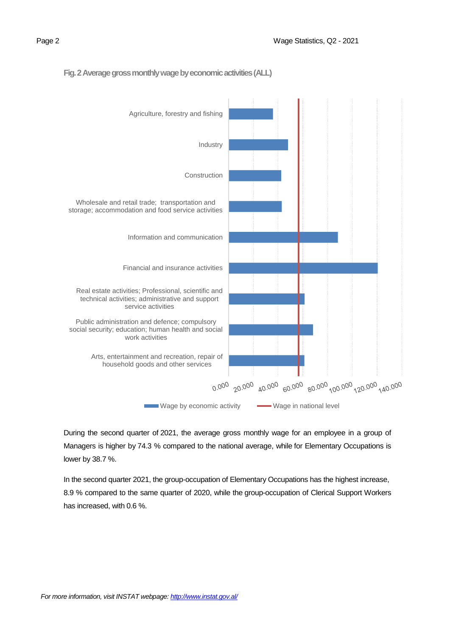



# **Fig. 2 Average gross monthly wage by economic activities(ALL)**

During the second quarter of 2021, the average gross monthly wage for an employee in a group of Managers is higher by 74.3 % compared to the national average, while for Elementary Occupations is lower by 38.7 %.

In the second quarter 2021, the group-occupation of Elementary Occupations has the highest increase, 8.9 % compared to the same quarter of 2020, while the group-occupation of Clerical Support Workers has increased, with 0.6 %.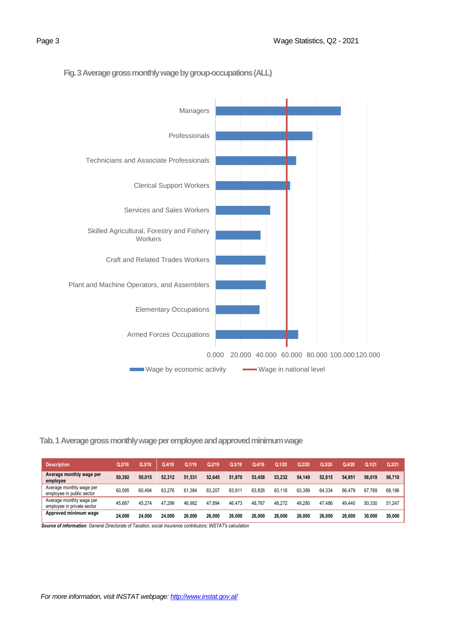

# **Fig. 3Average gross monthly wage by group-occupations(ALL)**

# **Tab. 1 Average gross monthly wage per employee and approved minimum wage**

| <b>Description</b>                                     | Q.2/18 | Q.3/18 | Q.4/18 | Q.1/19 | Q.2/19 | Q.3/19 | Q.4/19 | Q.1/20      | Q.2/20 | Q.3/20 | 0.4/20 | Q.1/21 | Q.2/21 |
|--------------------------------------------------------|--------|--------|--------|--------|--------|--------|--------|-------------|--------|--------|--------|--------|--------|
| Average monthly wage per<br>employee                   | 50.392 | 50.015 | 52.312 | 51.531 | 52.645 | 51.870 | 53,458 | 53.232      | 54.149 | 52.815 | 54.951 | 56.019 | 56,710 |
| Average monthly wage per<br>employee in public sector  | 60.595 | 60.494 | 63.276 | 61.384 | 63.207 | 63.911 | 63.826 | 63.<br>.116 | 63.389 | 64.334 | 66.479 | 67.769 | 68.196 |
| Average monthly wage per<br>employee in private sector | 45.667 | 45.274 | 47.299 | 46.982 | 47.894 | 46.473 | 48,767 | 48.272      | 49.280 | 47.486 | 49.440 | 50.330 | 51,247 |
| Approved minimum wage                                  | 24.000 | 24.000 | 24.000 | 26.000 | 26.000 | 26,000 | 26.000 | 26.000      | 26.000 | 26.000 | 26.000 | 30.000 | 30,000 |

 *Source of information: General Directorate of Taxation, social insurance contributors; INSTAT's calculation*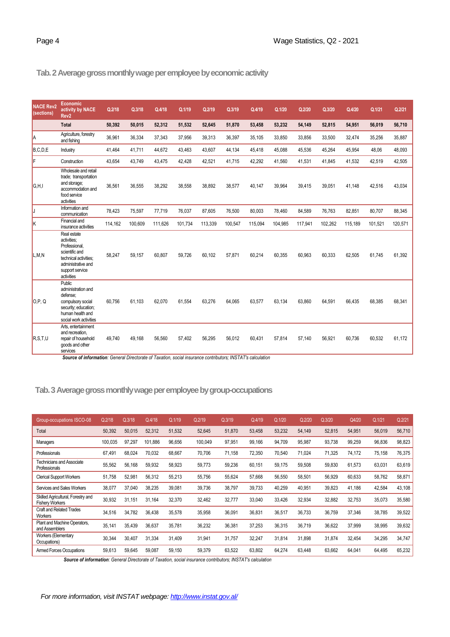# **Tab.2 Average gross monthly wage per employee by economic activity**

| <b>NACE Rev2</b><br>(sections) | Economic<br>activity by NACE<br>Rev <sub>2</sub>                                                                                              | Q.2/18  | Q.3/18  | Q.4/18  | Q.1/19  | Q.2/19  | Q.3/19  | Q.4/19  | Q.1/20  | Q.2/20  | Q.3/20  | Q.4/20  | Q.1/21  | Q.2/21  |
|--------------------------------|-----------------------------------------------------------------------------------------------------------------------------------------------|---------|---------|---------|---------|---------|---------|---------|---------|---------|---------|---------|---------|---------|
|                                | <b>Total</b>                                                                                                                                  | 50,392  | 50,015  | 52,312  | 51,532  | 52,645  | 51,870  | 53,458  | 53,232  | 54,149  | 52,815  | 54,951  | 56,019  | 56,710  |
| la                             | Agriculture, forestry<br>and fishing                                                                                                          | 36,961  | 36,334  | 37,343  | 37,956  | 39,313  | 36,397  | 35,105  | 33,850  | 33,856  | 33,500  | 32,474  | 35,256  | 35,887  |
| B.C.D.E                        | Industry                                                                                                                                      | 41.464  | 41.711  | 44.672  | 43.463  | 43.607  | 44.134  | 45.418  | 45.088  | 45.536  | 45.264  | 45.954  | 48.06   | 48.093  |
| F                              | Construction                                                                                                                                  | 43,654  | 43,749  | 43,475  | 42,428  | 42,521  | 41,715  | 42,292  | 41,560  | 41,531  | 41,845  | 41,532  | 42,519  | 42,505  |
| G.H.I                          | Wholesale and retail<br>trade; transportation<br>and storage;<br>accommodation and<br>food service<br>activities                              | 36.561  | 36,555  | 38,292  | 38,558  | 38,892  | 38,577  | 40,147  | 39,964  | 39,415  | 39,051  | 41.148  | 42,516  | 43,034  |
| IJ                             | Information and<br>communication                                                                                                              | 78.423  | 75,597  | 77,719  | 76,037  | 87.605  | 76,500  | 80.003  | 78.460  | 84.589  | 76.763  | 82,851  | 80,707  | 88,345  |
| Ιĸ                             | Financial and<br>insurance activities                                                                                                         | 114.162 | 100.609 | 111.626 | 101.734 | 113,339 | 100.547 | 115.094 | 104,985 | 117.941 | 102,262 | 115,189 | 101,521 | 120,571 |
| L,M,N                          | Real estate<br>activities:<br>Professional,<br>scientific and<br>technical activities:<br>administrative and<br>support service<br>activities | 58.247  | 59,157  | 60,807  | 59.726  | 60.102  | 57,871  | 60,214  | 60,355  | 60,963  | 60,333  | 62,505  | 61,745  | 61,392  |
| O.P. Q                         | Public<br>administration and<br>defense:<br>compulsory social<br>security; education;<br>human health and<br>social work activities           | 60.756  | 61,103  | 62,070  | 61,554  | 63,276  | 64,065  | 63,577  | 63,134  | 63,860  | 64,591  | 66,435  | 68,385  | 68,341  |
| R.S.T.U                        | Arts, entertainment<br>and recreation.<br>repair of household<br>goods and other<br>services                                                  | 49.740  | 49.168  | 56,560  | 57.402  | 56,295  | 56,012  | 60.431  | 57.814  | 57.140  | 56,921  | 60.736  | 60,532  | 61,172  |

*Source of information: General Directorate of Taxation, social insurance contributors; INSTAT's calculation*

# **Tab.3Average gross monthly wage per employee by group-occupations**

| Group-occupations ISCO-08                                    | Q.2/18  | Q.3/18 | Q.4/18  | Q.1/19 | Q.2/19  | Q.3/19 | Q.4/19 | Q.1/20 | Q.2/20 | Q.3/20 | Q4/20  | Q.1/21 | Q.2/21 |
|--------------------------------------------------------------|---------|--------|---------|--------|---------|--------|--------|--------|--------|--------|--------|--------|--------|
| Total                                                        | 50,392  | 50,015 | 52,312  | 51.532 | 52,645  | 51,870 | 53.458 | 53,232 | 54,149 | 52,815 | 54,951 | 56,019 | 56,710 |
| Managers                                                     | 100,035 | 97,297 | 101.886 | 96,656 | 100,049 | 97,951 | 99,166 | 94,709 | 95,987 | 93,738 | 99,259 | 96,836 | 98,823 |
| Professionals                                                | 67,491  | 68,024 | 70,032  | 68,667 | 70,706  | 71,158 | 72,350 | 70,540 | 71,024 | 71,325 | 74,172 | 75,158 | 76,375 |
| Technicians and Associate<br>Professionals                   | 55,562  | 56.168 | 59,932  | 58,923 | 59,773  | 59,236 | 60,151 | 59,175 | 59,508 | 59,830 | 61,573 | 63,031 | 63,619 |
| <b>Clerical Support Workers</b>                              | 51,758  | 52,981 | 56,312  | 55,213 | 55,756  | 55,624 | 57,668 | 56,550 | 58,501 | 56,929 | 60,633 | 58,762 | 58,871 |
| Services and Sales Workers                                   | 38,077  | 37,040 | 38,235  | 39,081 | 39,736  | 38,797 | 39,733 | 40,259 | 40,951 | 39,823 | 41,186 | 42,584 | 43,108 |
| Skilled Agricultural, Forestry and<br><b>Fishery Workers</b> | 30,932  | 31.151 | 31,164  | 32,370 | 32,462  | 32,777 | 33,040 | 33,426 | 32,934 | 32,882 | 32,753 | 35,073 | 35,580 |
| Craft and Related Trades<br>Workers                          | 34,516  | 34.782 | 36.438  | 35,578 | 35,958  | 36,091 | 36.831 | 36,517 | 36,733 | 36,759 | 37,346 | 38,785 | 39,522 |
| Plant and Machine Operators,<br>and Assemblers               | 35,141  | 35,439 | 36,637  | 35,781 | 36,232  | 36,381 | 37,253 | 36,315 | 36,719 | 36,622 | 37,999 | 38,995 | 39,632 |
| Workers (Elementary<br>Occupations)                          | 30,344  | 30.407 | 31,334  | 31.409 | 31,941  | 31,757 | 32,247 | 31,814 | 31,898 | 31,874 | 32.454 | 34,295 | 34,747 |
| <b>Armed Forces Occupations</b>                              | 59,613  | 59,645 | 59,087  | 59,150 | 59,379  | 63,522 | 63,802 | 64,274 | 63,448 | 63,662 | 64,041 | 64,495 | 65,232 |

*Source of information: General Directorate of Taxation, social insurance contributors; INSTAT's calculation*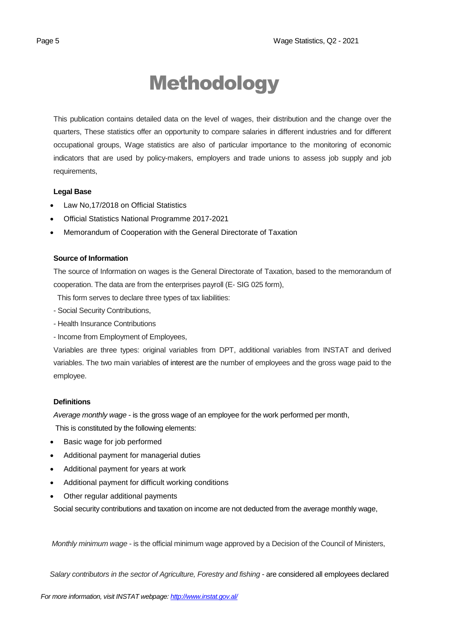# Methodology

This publication contains detailed data on the level of wages, their distribution and the change over the quarters, These statistics offer an opportunity to compare salaries in different industries and for different occupational groups, Wage statistics are also of particular importance to the monitoring of economic indicators that are used by policy-makers, employers and trade unions to assess job supply and job requirements,

# **Legal Base**

- [Law No,17/2018 on Official Statistics](http://instat.gov.al/media/3972/law-no17-2018-on-official-statistics.pdf)
- Official Statistics National Programme 2017-2021
- Memorandum of Cooperation with the General Directorate of Taxation

# **Source of Information**

The source of Information on wages is the General Directorate of Taxation, based to the memorandum of cooperation. The data are from the enterprises payroll (E- SIG 025 form),

This form serves to declare three types of tax liabilities:

- Social Security Contributions,
- Health Insurance Contributions
- Income from Employment of Employees,

Variables are three types: original variables from DPT, additional variables from INSTAT and derived variables. The two main variables of interest are the number of employees and the gross wage paid to the employee.

#### **Definitions**

*Average monthly wage* - is the gross wage of an employee for the work performed per month,

This is constituted by the following elements:

- Basic wage for job performed
- Additional payment for managerial duties
- Additional payment for years at work
- Additional payment for difficult working conditions
- Other regular additional payments

Social security contributions and taxation on income are not deducted from the average monthly wage,

*Monthly minimum wage* - is the official minimum wage approved by a Decision of the Council of Ministers,

 *Salary contributors in the sector of Agriculture, Forestry and fishing* - are considered all employees declared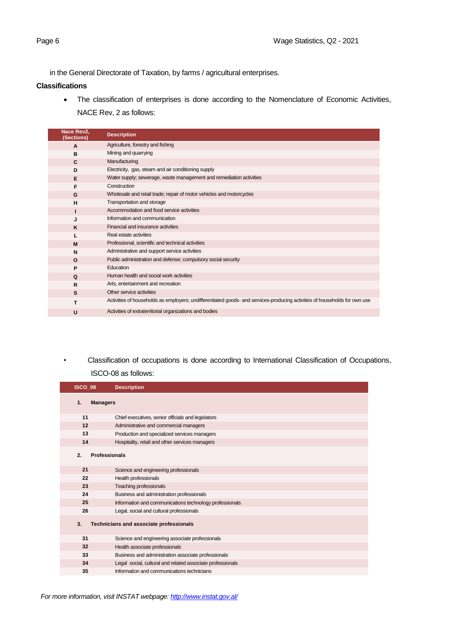in the General Directorate of Taxation, by farms / agricultural enterprises.

#### **Classifications**

• The classification of enterprises is done according to the Nomenclature of Economic Activities, NACE Rev, 2 as follows:

| Nace Rev2,<br>(Sections) | <b>Description</b>                                                                                                         |
|--------------------------|----------------------------------------------------------------------------------------------------------------------------|
| $\mathbf{A}$             | Agriculture, forestry and fishing                                                                                          |
| B                        | Mining and quarrying                                                                                                       |
| C                        | Manufacturing                                                                                                              |
| D                        | Electricity, gas, steam and air conditioning supply                                                                        |
| E                        | Water supply; sewerage, waste management and remediation activities                                                        |
| F                        | Construction                                                                                                               |
| G                        | Wholesale and retail trade; repair of motor vehicles and motorcycles                                                       |
| H                        | Transportation and storage                                                                                                 |
|                          | Accommodation and food service activities                                                                                  |
| J                        | Information and communication                                                                                              |
| K                        | Financial and insurance activities                                                                                         |
|                          | Real estate activities                                                                                                     |
| M                        | Professional, scientific and technical activities                                                                          |
| N                        | Administrative and support service activities                                                                              |
| $\Omega$                 | Public administration and defense; compulsory social security                                                              |
| P                        | Education                                                                                                                  |
| Q                        | Human health and social work activities                                                                                    |
| R                        | Arts, entertainment and recreation                                                                                         |
| S                        | Other service activities                                                                                                   |
| т                        | Activities of households as employers; undifferentiated goods- and services-producing activities of households for own use |
| U                        | Activities of extraterritorial organizations and bodies                                                                    |

*•* Classification of occupations is done according to International Classification of Occupations, ISCO-08 as follows:

| ISCO 08 | <b>Description</b>                                         |
|---------|------------------------------------------------------------|
| 1.      | <b>Managers</b>                                            |
| 11      | Chief executives, senior officials and legislators         |
| 12      | Administrative and commercial managers                     |
| 13      | Production and specialized services managers               |
| 14      | Hospitality, retail and other services managers            |
| 2.      | <b>Professionals</b>                                       |
| 21      | Science and engineering professionals                      |
| 22      | Health professionals                                       |
| 23      | Teaching professionals                                     |
| 24      | Business and administration professionals                  |
| 25      | Information and communications technology professionals    |
| 26      | Legal, social and cultural professionals                   |
| 3.      | Technicians and associate professionals                    |
| 31      | Science and engineering associate professionals            |
| 32      | Health associate professionals                             |
| 33      | Business and administration associate professionals        |
| 34      | Legal social, cultural and related associate professionals |
| 35      | Information and communications technicians                 |